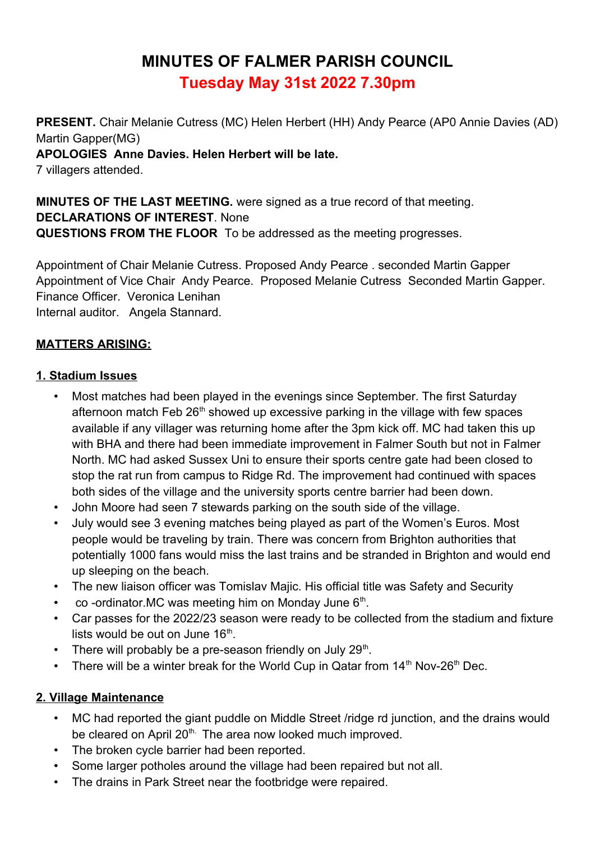# **MINUTES OF FALMER PARISH COUNCIL Tuesday May 31st 2022 7.30pm**

**PRESENT.** Chair Melanie Cutress (MC) Helen Herbert (HH) Andy Pearce (AP0 Annie Davies (AD) Martin Gapper(MG)

**APOLOGIES Anne Davies. Helen Herbert will be late.**

7 villagers attended.

**MINUTES OF THE LAST MEETING.** were signed as a true record of that meeting. **DECLARATIONS OF INTEREST**. None **QUESTIONS FROM THE FLOOR** To be addressed as the meeting progresses.

Appointment of Chair Melanie Cutress. Proposed Andy Pearce . seconded Martin Gapper Appointment of Vice Chair Andy Pearce. Proposed Melanie Cutress Seconded Martin Gapper. Finance Officer. Veronica Lenihan Internal auditor. Angela Stannard.

## **MATTERS ARISING:**

#### **1. Stadium Issues**

- Most matches had been played in the evenings since September. The first Saturday afternoon match Feb  $26<sup>th</sup>$  showed up excessive parking in the village with few spaces available if any villager was returning home after the 3pm kick off. MC had taken this up with BHA and there had been immediate improvement in Falmer South but not in Falmer North. MC had asked Sussex Uni to ensure their sports centre gate had been closed to stop the rat run from campus to Ridge Rd. The improvement had continued with spaces both sides of the village and the university sports centre barrier had been down.
- John Moore had seen 7 stewards parking on the south side of the village.
- July would see 3 evening matches being played as part of the Women's Euros. Most people would be traveling by train. There was concern from Brighton authorities that potentially 1000 fans would miss the last trains and be stranded in Brighton and would end up sleeping on the beach.
- The new liaison officer was Tomislav Majic. His official title was Safety and Security
- co-ordinator. MC was meeting him on Monday June  $6<sup>th</sup>$ .
- Car passes for the 2022/23 season were ready to be collected from the stadium and fixture lists would be out on June 16<sup>th</sup>.
- There will probably be a pre-season friendly on July 29<sup>th</sup>.
- There will be a winter break for the World Cup in Qatar from  $14<sup>th</sup>$  Nov-26<sup>th</sup> Dec.

#### **2. Village Maintenance**

- MC had reported the giant puddle on Middle Street /ridge rd junction, and the drains would be cleared on April 20<sup>th.</sup> The area now looked much improved.
- The broken cycle barrier had been reported.
- Some larger potholes around the village had been repaired but not all.
- The drains in Park Street near the footbridge were repaired.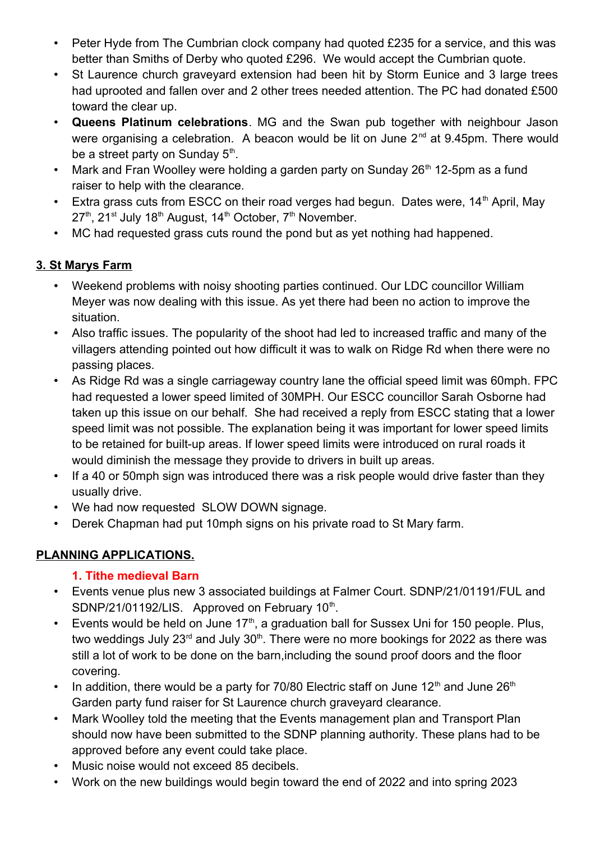- Peter Hyde from The Cumbrian clock company had quoted £235 for a service, and this was better than Smiths of Derby who quoted £296. We would accept the Cumbrian quote.
- St Laurence church gravevard extension had been hit by Storm Eunice and 3 large trees had uprooted and fallen over and 2 other trees needed attention. The PC had donated £500 toward the clear up.
- **Queens Platinum celebrations**. MG and the Swan pub together with neighbour Jason were organising a celebration. A beacon would be lit on June 2<sup>nd</sup> at 9.45pm. There would be a street party on Sunday  $5<sup>th</sup>$ .
- Mark and Fran Woolley were holding a garden party on Sunday 26<sup>th</sup> 12-5pm as a fund raiser to help with the clearance.
- Extra grass cuts from ESCC on their road verges had begun. Dates were,  $14<sup>th</sup>$  April, May  $27<sup>th</sup>$ ,  $21<sup>st</sup>$  July 18<sup>th</sup> August, 14<sup>th</sup> October,  $7<sup>th</sup>$  November.
- MC had requested grass cuts round the pond but as yet nothing had happened.

# **3. St Marys Farm**

- Weekend problems with noisy shooting parties continued. Our LDC councillor William Meyer was now dealing with this issue. As yet there had been no action to improve the situation.
- Also traffic issues. The popularity of the shoot had led to increased traffic and many of the villagers attending pointed out how difficult it was to walk on Ridge Rd when there were no passing places.
- As Ridge Rd was a single carriageway country lane the official speed limit was 60mph. FPC had requested a lower speed limited of 30MPH. Our ESCC councillor Sarah Osborne had taken up this issue on our behalf. She had received a reply from ESCC stating that a lower speed limit was not possible. The explanation being it was important for lower speed limits to be retained for built-up areas. If lower speed limits were introduced on rural roads it would diminish the message they provide to drivers in built up areas.
- If a 40 or 50mph sign was introduced there was a risk people would drive faster than they usually drive.
- We had now requested SLOW DOWN signage.
- Derek Chapman had put 10mph signs on his private road to St Mary farm.

# **PLANNING APPLICATIONS.**

# **1. Tithe medieval Barn**

- Events venue plus new 3 associated buildings at Falmer Court. SDNP/21/01191/FUL and SDNP/21/01192/LIS. Approved on February  $10<sup>th</sup>$ .
- Events would be held on June  $17<sup>th</sup>$ , a graduation ball for Sussex Uni for 150 people. Plus, two weddings July 23 $rd$  and July 30 $th$ . There were no more bookings for 2022 as there was still a lot of work to be done on the barn,including the sound proof doors and the floor covering.
- In addition, there would be a party for 70/80 Electric staff on June  $12<sup>th</sup>$  and June  $26<sup>th</sup>$ Garden party fund raiser for St Laurence church graveyard clearance.
- Mark Woolley told the meeting that the Events management plan and Transport Plan should now have been submitted to the SDNP planning authority. These plans had to be approved before any event could take place.
- Music noise would not exceed 85 decibels.
- Work on the new buildings would begin toward the end of 2022 and into spring 2023